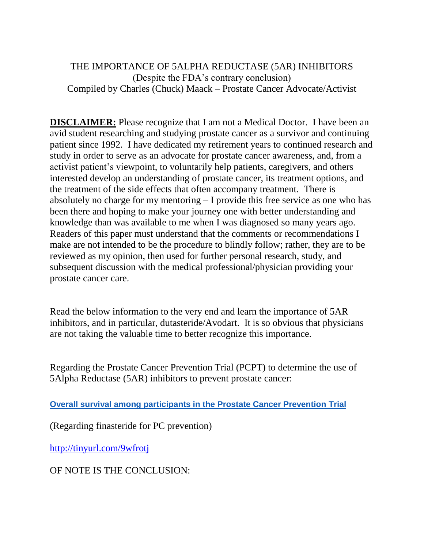## THE IMPORTANCE OF 5ALPHA REDUCTASE (5AR) INHIBITORS (Despite the FDA's contrary conclusion) Compiled by Charles (Chuck) Maack – Prostate Cancer Advocate/Activist

**DISCLAIMER:** Please recognize that I am not a Medical Doctor. I have been an avid student researching and studying prostate cancer as a survivor and continuing patient since 1992. I have dedicated my retirement years to continued research and study in order to serve as an advocate for prostate cancer awareness, and, from a activist patient's viewpoint, to voluntarily help patients, caregivers, and others interested develop an understanding of prostate cancer, its treatment options, and the treatment of the side effects that often accompany treatment. There is absolutely no charge for my mentoring – I provide this free service as one who has been there and hoping to make your journey one with better understanding and knowledge than was available to me when I was diagnosed so many years ago. Readers of this paper must understand that the comments or recommendations I make are not intended to be the procedure to blindly follow; rather, they are to be reviewed as my opinion, then used for further personal research, study, and subsequent discussion with the medical professional/physician providing your prostate cancer care.

Read the below information to the very end and learn the importance of 5AR inhibitors, and in particular, dutasteride/Avodart. It is so obvious that physicians are not taking the valuable time to better recognize this importance.

Regarding the Prostate Cancer Prevention Trial (PCPT) to determine the use of 5Alpha Reductase (5AR) inhibitors to prevent prostate cancer:

**[Overall survival among participants in the Prostate Cancer Prevention](http://prostatecancerinfolink.net/2013/02/14/overall-survival-among-participants-in-the-prostate-cancer-prevention-trial/) Trial**

(Regarding finasteride for PC prevention)

<http://tinyurl.com/9wfrotj>

OF NOTE IS THE CONCLUSION: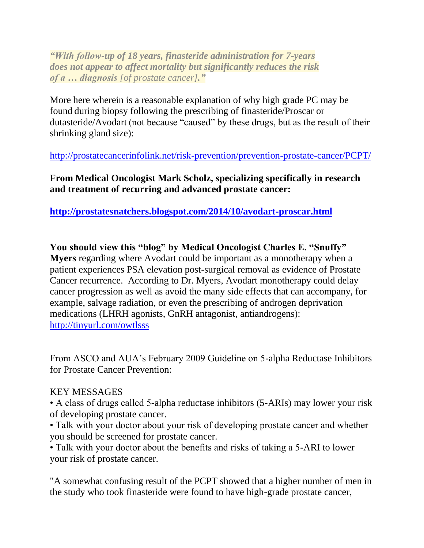*"With follow-up of 18 years, finasteride administration for 7-years does not appear to affect mortality but significantly reduces the risk of a … diagnosis [of prostate cancer]."*

More here wherein is a reasonable explanation of why high grade PC may be found during biopsy following the prescribing of finasteride/Proscar or dutasteride/Avodart (not because "caused" by these drugs, but as the result of their shrinking gland size):

<http://prostatecancerinfolink.net/risk-prevention/prevention-prostate-cancer/PCPT/>

**From Medical Oncologist Mark Scholz, specializing specifically in research and treatment of recurring and advanced prostate cancer:**

**<http://prostatesnatchers.blogspot.com/2014/10/avodart-proscar.html>**

**You should view this "blog" by Medical Oncologist Charles E. "Snuffy" Myers** regarding where Avodart could be important as a monotherapy when a patient experiences PSA elevation post-surgical removal as evidence of Prostate Cancer recurrence. According to Dr. Myers, Avodart monotherapy could delay cancer progression as well as avoid the many side effects that can accompany, for example, salvage radiation, or even the prescribing of androgen deprivation medications (LHRH agonists, GnRH antagonist, antiandrogens): <http://tinyurl.com/owtlsss>

From ASCO and AUA's February 2009 Guideline on 5-alpha Reductase Inhibitors for Prostate Cancer Prevention:

### KEY MESSAGES

• A class of drugs called 5-alpha reductase inhibitors (5-ARIs) may lower your risk of developing prostate cancer.

• Talk with your doctor about your risk of developing prostate cancer and whether you should be screened for prostate cancer.

• Talk with your doctor about the benefits and risks of taking a 5-ARI to lower your risk of prostate cancer.

"A somewhat confusing result of the PCPT showed that a higher number of men in the study who took finasteride were found to have high-grade prostate cancer,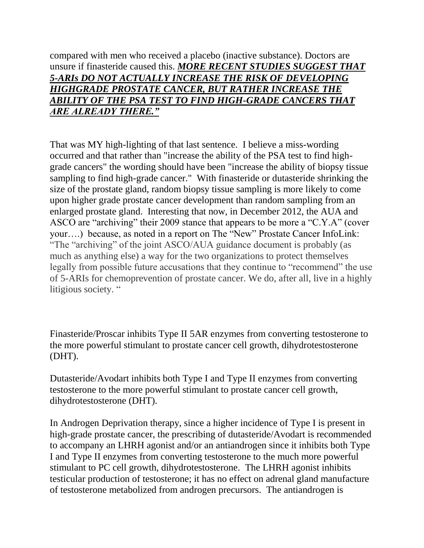compared with men who received a placebo (inactive substance). Doctors are unsure if finasteride caused this. *MORE RECENT STUDIES SUGGEST THAT 5-ARIs DO NOT ACTUALLY INCREASE THE RISK OF DEVELOPING HIGHGRADE PROSTATE CANCER, BUT RATHER INCREASE THE ABILITY OF THE PSA TEST TO FIND HIGH-GRADE CANCERS THAT ARE ALREADY THERE."*

That was MY high-lighting of that last sentence. I believe a miss-wording occurred and that rather than "increase the ability of the PSA test to find highgrade cancers" the wording should have been "increase the ability of biopsy tissue sampling to find high-grade cancer." With finasteride or dutasteride shrinking the size of the prostate gland, random biopsy tissue sampling is more likely to come upon higher grade prostate cancer development than random sampling from an enlarged prostate gland. Interesting that now, in December 2012, the AUA and ASCO are "archiving" their 2009 stance that appears to be more a "C.Y.A" (cover your….) because, as noted in a report on The "New" Prostate Cancer InfoLink: "The "archiving" of the joint ASCO/AUA guidance document is probably (as much as anything else) a way for the two organizations to protect themselves legally from possible future accusations that they continue to "recommend" the use of 5-ARIs for chemoprevention of prostate cancer. We do, after all, live in a highly litigious society. "

Finasteride/Proscar inhibits Type II 5AR enzymes from converting testosterone to the more powerful stimulant to prostate cancer cell growth, dihydrotestosterone (DHT).

Dutasteride/Avodart inhibits both Type I and Type II enzymes from converting testosterone to the more powerful stimulant to prostate cancer cell growth, dihydrotestosterone (DHT).

In Androgen Deprivation therapy, since a higher incidence of Type I is present in high-grade prostate cancer, the prescribing of dutasteride/Avodart is recommended to accompany an LHRH agonist and/or an antiandrogen since it inhibits both Type I and Type II enzymes from converting testosterone to the much more powerful stimulant to PC cell growth, dihydrotestosterone. The LHRH agonist inhibits testicular production of testosterone; it has no effect on adrenal gland manufacture of testosterone metabolized from androgen precursors. The antiandrogen is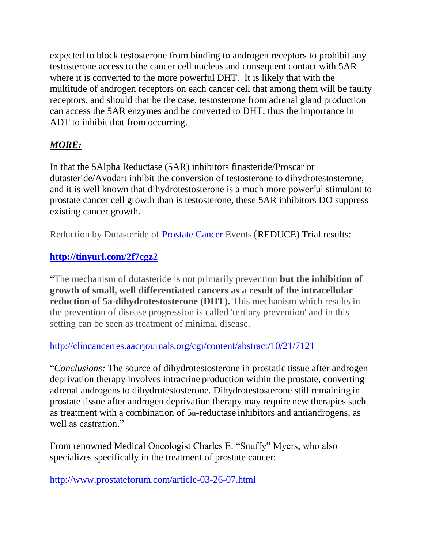expected to block testosterone from binding to androgen receptors to prohibit any testosterone access to the cancer cell nucleus and consequent contact with 5AR where it is converted to the more powerful DHT. It is likely that with the multitude of androgen receptors on each cancer cell that among them will be faulty receptors, and should that be the case, testosterone from adrenal gland production can access the 5AR enzymes and be converted to DHT; thus the importance in ADT to inhibit that from occurring.

# *MORE:*

In that the 5Alpha Reductase (5AR) inhibitors finasteride/Proscar or dutasteride/Avodart inhibit the conversion of testosterone to dihydrotestosterone, and it is well known that dihydrotestosterone is a much more powerful stimulant to prostate cancer cell growth than is testosterone, these 5AR inhibitors DO suppress existing cancer growth.

Reduction by Dutasteride of [Prostate Cancer](http://www.news-medical.net/health/Prostate-Cancer.aspx) Events (REDUCE) Trial results:

# **<http://tinyurl.com/2f7cgz2>**

"The mechanism of dutasteride is not primarily prevention **but the inhibition of growth of small, well differentiated cancers as a result of the intracellular reduction of 5a-dihydrotestosterone (DHT).** This mechanism which results in the prevention of disease progression is called 'tertiary prevention' and in this setting can be seen as treatment of minimal disease.

# <http://clincancerres.aacrjournals.org/cgi/content/abstract/10/21/7121>

"*Conclusions:* The source of dihydrotestosterone in prostatic tissue after androgen deprivation therapy involves intracrine production within the prostate, converting adrenal androgensto dihydrotestosterone. Dihydrotestosterone still remaining in prostate tissue after androgen deprivation therapy may require new therapies such as treatment with a combination of  $5\alpha$ -reductase inhibitors and antiandrogens, as well as castration."

From renowned Medical Oncologist Charles E. "Snuffy" Myers, who also specializes specifically in the treatment of prostate cancer:

<http://www.prostateforum.com/article-03-26-07.html>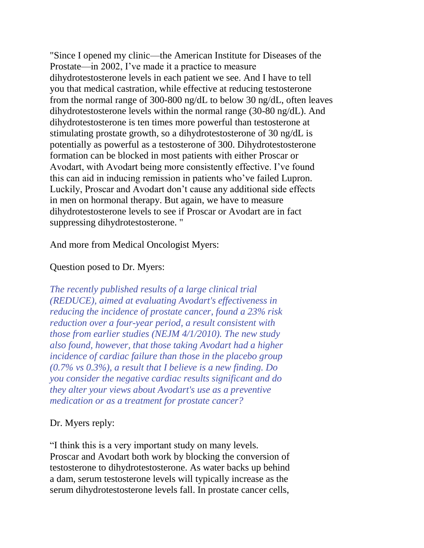"Since I opened my clinic—the American Institute for Diseases of the Prostate—in 2002, I've made it a practice to measure dihydrotestosterone levels in each patient we see. And I have to tell you that medical castration, while effective at reducing testosterone from the normal range of 300-800 ng/dL to below 30 ng/dL, often leaves dihydrotestosterone levels within the normal range (30-80 ng/dL). And dihydrotestosterone is ten times more powerful than testosterone at stimulating prostate growth, so a dihydrotestosterone of 30 ng/dL is potentially as powerful as a testosterone of 300. Dihydrotestosterone formation can be blocked in most patients with either Proscar or Avodart, with Avodart being more consistently effective. I've found this can aid in inducing remission in patients who've failed Lupron. Luckily, Proscar and Avodart don't cause any additional side effects in men on hormonal therapy. But again, we have to measure dihydrotestosterone levels to see if Proscar or Avodart are in fact suppressing dihydrotestosterone. "

And more from Medical Oncologist Myers:

#### Question posed to Dr. Myers:

*The recently published results of a large clinical trial (REDUCE), aimed at evaluating Avodart's effectiveness in reducing the incidence of prostate cancer, found a 23% risk reduction over a four-year period, a result consistent with those from earlier studies (NEJM 4/1/2010). The new study also found, however, that those taking Avodart had a higher incidence of cardiac failure than those in the placebo group (0.7% vs 0.3%), a result that I believe is a new finding. Do you consider the negative cardiac results significant and do they alter your views about Avodart's use as a preventive medication or as a treatment for prostate cancer?*

### Dr. Myers reply:

"I think this is a very important study on many levels. Proscar and Avodart both work by blocking the conversion of testosterone to dihydrotestosterone. As water backs up behind a dam, serum testosterone levels will typically increase as the serum dihydrotestosterone levels fall. In prostate cancer cells,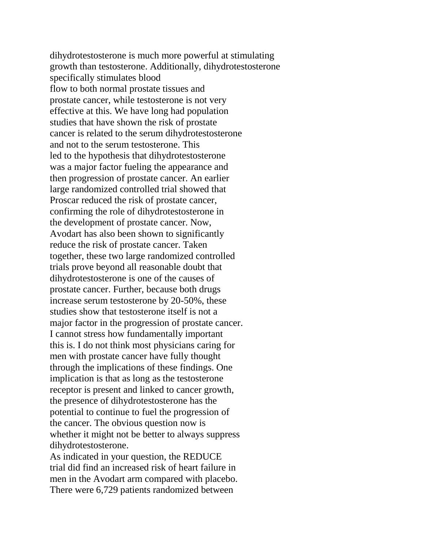dihydrotestosterone is much more powerful at stimulating growth than testosterone. Additionally, dihydrotestosterone specifically stimulates blood flow to both normal prostate tissues and prostate cancer, while testosterone is not very effective at this. We have long had population studies that have shown the risk of prostate cancer is related to the serum dihydrotestosterone and not to the serum testosterone. This led to the hypothesis that dihydrotestosterone was a major factor fueling the appearance and then progression of prostate cancer. An earlier large randomized controlled trial showed that Proscar reduced the risk of prostate cancer, confirming the role of dihydrotestosterone in the development of prostate cancer. Now, Avodart has also been shown to significantly reduce the risk of prostate cancer. Taken together, these two large randomized controlled trials prove beyond all reasonable doubt that dihydrotestosterone is one of the causes of prostate cancer. Further, because both drugs increase serum testosterone by 20-50%, these studies show that testosterone itself is not a major factor in the progression of prostate cancer. I cannot stress how fundamentally important this is. I do not think most physicians caring for men with prostate cancer have fully thought through the implications of these findings. One implication is that as long as the testosterone receptor is present and linked to cancer growth, the presence of dihydrotestosterone has the potential to continue to fuel the progression of the cancer. The obvious question now is whether it might not be better to always suppress dihydrotestosterone.

As indicated in your question, the REDUCE trial did find an increased risk of heart failure in men in the Avodart arm compared with placebo. There were 6,729 patients randomized between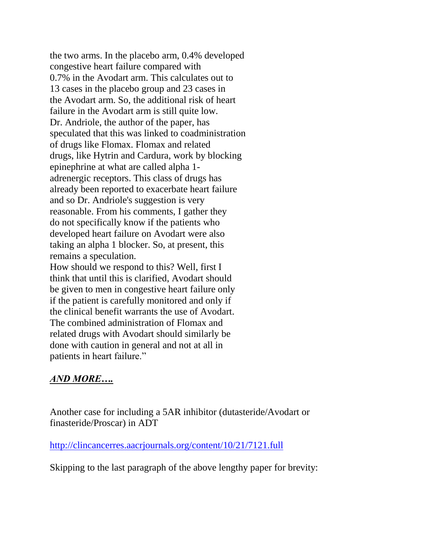the two arms. In the placebo arm, 0.4% developed congestive heart failure compared with 0.7% in the Avodart arm. This calculates out to 13 cases in the placebo group and 23 cases in the Avodart arm. So, the additional risk of heart failure in the Avodart arm is still quite low. Dr. Andriole, the author of the paper, has speculated that this was linked to coadministration of drugs like Flomax. Flomax and related drugs, like Hytrin and Cardura, work by blocking epinephrine at what are called alpha 1 adrenergic receptors. This class of drugs has already been reported to exacerbate heart failure and so Dr. Andriole's suggestion is very reasonable. From his comments, I gather they do not specifically know if the patients who developed heart failure on Avodart were also taking an alpha 1 blocker. So, at present, this remains a speculation.

How should we respond to this? Well, first I think that until this is clarified, Avodart should be given to men in congestive heart failure only if the patient is carefully monitored and only if the clinical benefit warrants the use of Avodart. The combined administration of Flomax and related drugs with Avodart should similarly be done with caution in general and not at all in patients in heart failure."

### *AND MORE….*

Another case for including a 5AR inhibitor (dutasteride/Avodart or finasteride/Proscar) in ADT

<http://clincancerres.aacrjournals.org/content/10/21/7121.full>

Skipping to the last paragraph of the above lengthy paper for brevity: